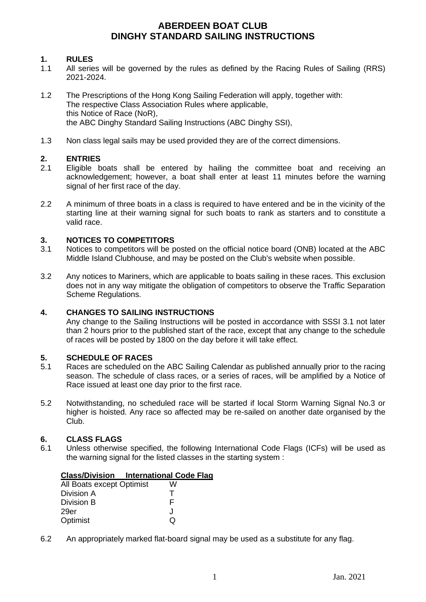## **1. RULES**

- 1.1 All series will be governed by the rules as defined by the Racing Rules of Sailing (RRS) 2021-2024.
- 1.2 The Prescriptions of the Hong Kong Sailing Federation will apply, together with: The respective Class Association Rules where applicable, this Notice of Race (NoR), the ABC Dinghy Standard Sailing Instructions (ABC Dinghy SSI),
- 1.3 Non class legal sails may be used provided they are of the correct dimensions.

# **2. ENTRIES**

- Eligible boats shall be entered by hailing the committee boat and receiving an acknowledgement; however, a boat shall enter at least 11 minutes before the warning signal of her first race of the day.
- 2.2 A minimum of three boats in a class is required to have entered and be in the vicinity of the starting line at their warning signal for such boats to rank as starters and to constitute a valid race.

## **3. NOTICES TO COMPETITORS**

- 3.1 Notices to competitors will be posted on the official notice board (ONB) located at the ABC Middle Island Clubhouse, and may be posted on the Club's website when possible.
- 3.2 Any notices to Mariners, which are applicable to boats sailing in these races. This exclusion does not in any way mitigate the obligation of competitors to observe the Traffic Separation Scheme Regulations.

#### **4. CHANGES TO SAILING INSTRUCTIONS**

Any change to the Sailing Instructions will be posted in accordance with SSSI 3.1 not later than 2 hours prior to the published start of the race, except that any change to the schedule of races will be posted by 1800 on the day before it will take effect.

#### **5. SCHEDULE OF RACES**

- 5.1 Races are scheduled on the ABC Sailing Calendar as published annually prior to the racing season. The schedule of class races, or a series of races, will be amplified by a Notice of Race issued at least one day prior to the first race.
- 5.2 Notwithstanding, no scheduled race will be started if local Storm Warning Signal No.3 or higher is hoisted. Any race so affected may be re-sailed on another date organised by the Club.

#### **6. CLASS FLAGS**

6.1 Unless otherwise specified, the following International Code Flags (ICFs) will be used as the warning signal for the listed classes in the starting system :

#### **Class/Division International Code Flag**

| All Boats except Optimist | w   |
|---------------------------|-----|
| Division A                |     |
| Division B                | F   |
| 29er                      | ا . |
| Optimist                  | O   |

6.2 An appropriately marked flat-board signal may be used as a substitute for any flag.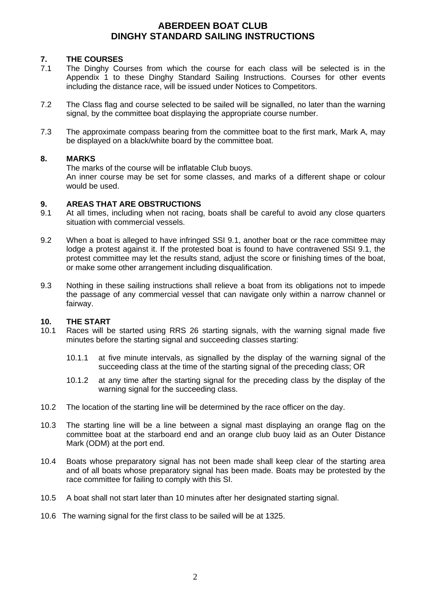## **7. THE COURSES**

- 7.1 The Dinghy Courses from which the course for each class will be selected is in the Appendix 1 to these Dinghy Standard Sailing Instructions. Courses for other events including the distance race, will be issued under Notices to Competitors.
- 7.2 The Class flag and course selected to be sailed will be signalled, no later than the warning signal, by the committee boat displaying the appropriate course number.
- 7.3 The approximate compass bearing from the committee boat to the first mark, Mark A, may be displayed on a black/white board by the committee boat.

## **8. MARKS**

The marks of the course will be inflatable Club buoys.

An inner course may be set for some classes, and marks of a different shape or colour would be used.

#### **9. AREAS THAT ARE OBSTRUCTIONS**

- 9.1 At all times, including when not racing, boats shall be careful to avoid any close quarters situation with commercial vessels.
- 9.2 When a boat is alleged to have infringed SSI 9.1, another boat or the race committee may lodge a protest against it. If the protested boat is found to have contravened SSI 9.1, the protest committee may let the results stand, adjust the score or finishing times of the boat, or make some other arrangement including disqualification.
- 9.3 Nothing in these sailing instructions shall relieve a boat from its obligations not to impede the passage of any commercial vessel that can navigate only within a narrow channel or fairway.

## **10. THE START**

- 10.1 Races will be started using RRS 26 starting signals, with the warning signal made five minutes before the starting signal and succeeding classes starting:
	- 10.1.1 at five minute intervals, as signalled by the display of the warning signal of the succeeding class at the time of the starting signal of the preceding class; OR
	- 10.1.2 at any time after the starting signal for the preceding class by the display of the warning signal for the succeeding class.
- 10.2 The location of the starting line will be determined by the race officer on the day.
- 10.3 The starting line will be a line between a signal mast displaying an orange flag on the committee boat at the starboard end and an orange club buoy laid as an Outer Distance Mark (ODM) at the port end.
- 10.4 Boats whose preparatory signal has not been made shall keep clear of the starting area and of all boats whose preparatory signal has been made. Boats may be protested by the race committee for failing to comply with this SI.
- 10.5 A boat shall not start later than 10 minutes after her designated starting signal.
- 10.6 The warning signal for the first class to be sailed will be at 1325.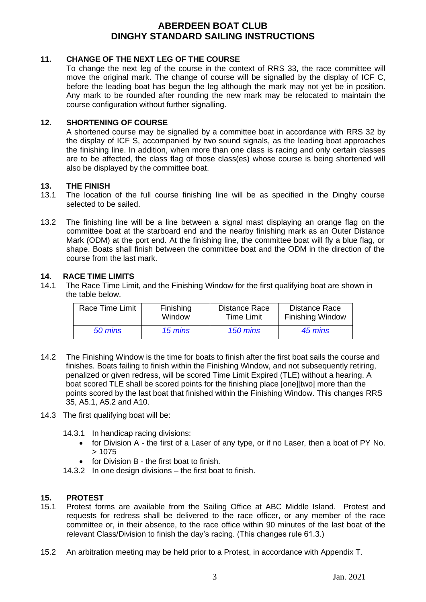#### **11. CHANGE OF THE NEXT LEG OF THE COURSE**

To change the next leg of the course in the context of RRS 33, the race committee will move the original mark. The change of course will be signalled by the display of ICF C, before the leading boat has begun the leg although the mark may not yet be in position. Any mark to be rounded after rounding the new mark may be relocated to maintain the course configuration without further signalling.

#### **12. SHORTENING OF COURSE**

A shortened course may be signalled by a committee boat in accordance with RRS 32 by the display of ICF S, accompanied by two sound signals, as the leading boat approaches the finishing line. In addition, when more than one class is racing and only certain classes are to be affected, the class flag of those class(es) whose course is being shortened will also be displayed by the committee boat.

#### **13. THE FINISH**

- 13.1 The location of the full course finishing line will be as specified in the Dinghy course selected to be sailed.
- 13.2 The finishing line will be a line between a signal mast displaying an orange flag on the committee boat at the starboard end and the nearby finishing mark as an Outer Distance Mark (ODM) at the port end. At the finishing line, the committee boat will fly a blue flag, or shape. Boats shall finish between the committee boat and the ODM in the direction of the course from the last mark.

#### **14. RACE TIME LIMITS**

14.1 The Race Time Limit, and the Finishing Window for the first qualifying boat are shown in the table below.

| <b>Race Time Limit</b> | Finishing | Distance Race     | <b>Distance Race</b>    |
|------------------------|-----------|-------------------|-------------------------|
|                        | Window    | <b>Time Limit</b> | <b>Finishing Window</b> |
| 50 mins                | 15 mins   | 150 mins          | 45 mins                 |

- 14.2 The Finishing Window is the time for boats to finish after the first boat sails the course and finishes. Boats failing to finish within the Finishing Window, and not subsequently retiring, penalized or given redress, will be scored Time Limit Expired (TLE) without a hearing. A boat scored TLE shall be scored points for the finishing place [one][two] more than the points scored by the last boat that finished within the Finishing Window. This changes RRS 35, A5.1, A5.2 and A10.
- 14.3 The first qualifying boat will be:
	- 14.3.1 In handicap racing divisions:
		- for Division A the first of a Laser of any type, or if no Laser, then a boat of PY No. > 1075
		- for Division B the first boat to finish.
	- 14.3.2 In one design divisions the first boat to finish.

#### **15. PROTEST**

- 15.1 Protest forms are available from the Sailing Office at ABC Middle Island. Protest and requests for redress shall be delivered to the race officer, or any member of the race committee or, in their absence, to the race office within 90 minutes of the last boat of the relevant Class/Division to finish the day's racing. (This changes rule 61.3.)
- 15.2 An arbitration meeting may be held prior to a Protest, in accordance with Appendix T.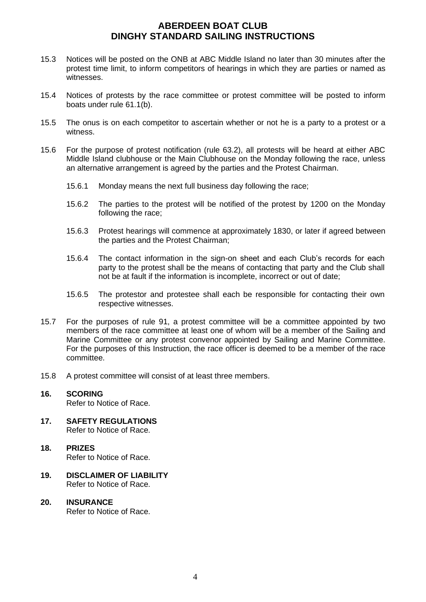- 15.3 Notices will be posted on the ONB at ABC Middle Island no later than 30 minutes after the protest time limit, to inform competitors of hearings in which they are parties or named as witnesses.
- 15.4 Notices of protests by the race committee or protest committee will be posted to inform boats under rule 61.1(b).
- 15.5 The onus is on each competitor to ascertain whether or not he is a party to a protest or a witness.
- 15.6 For the purpose of protest notification (rule 63.2), all protests will be heard at either ABC Middle Island clubhouse or the Main Clubhouse on the Monday following the race, unless an alternative arrangement is agreed by the parties and the Protest Chairman.
	- 15.6.1 Monday means the next full business day following the race;
	- 15.6.2 The parties to the protest will be notified of the protest by 1200 on the Monday following the race;
	- 15.6.3 Protest hearings will commence at approximately 1830, or later if agreed between the parties and the Protest Chairman;
	- 15.6.4 The contact information in the sign-on sheet and each Club's records for each party to the protest shall be the means of contacting that party and the Club shall not be at fault if the information is incomplete, incorrect or out of date;
	- 15.6.5 The protestor and protestee shall each be responsible for contacting their own respective witnesses.
- 15.7 For the purposes of rule 91, a protest committee will be a committee appointed by two members of the race committee at least one of whom will be a member of the Sailing and Marine Committee or any protest convenor appointed by Sailing and Marine Committee. For the purposes of this Instruction, the race officer is deemed to be a member of the race committee.
- 15.8 A protest committee will consist of at least three members.

## **16. SCORING** Refer to Notice of Race.

- **17. SAFETY REGULATIONS** Refer to Notice of Race.
- **18. PRIZES** Refer to Notice of Race.
- **19. DISCLAIMER OF LIABILITY** Refer to Notice of Race.
- **20. INSURANCE** Refer to Notice of Race.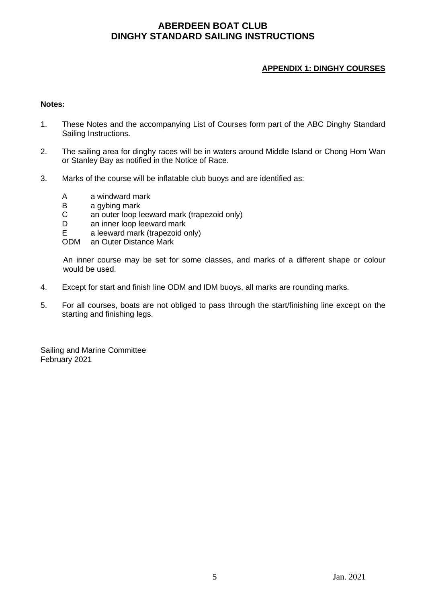## **APPENDIX 1: DINGHY COURSES**

#### **Notes:**

- 1. These Notes and the accompanying List of Courses form part of the ABC Dinghy Standard Sailing Instructions.
- 2. The sailing area for dinghy races will be in waters around Middle Island or Chong Hom Wan or Stanley Bay as notified in the Notice of Race.
- 3. Marks of the course will be inflatable club buoys and are identified as:
	- A a windward mark
	- B a gybing mark
	- C an outer loop leeward mark (trapezoid only)<br>D an inner loop leeward mark
	- an inner loop leeward mark
	- E a leeward mark (trapezoid only)<br>ODM an Outer Distance Mark
	- an Outer Distance Mark

An inner course may be set for some classes, and marks of a different shape or colour would be used.

- 4. Except for start and finish line ODM and IDM buoys, all marks are rounding marks.
- 5. For all courses, boats are not obliged to pass through the start/finishing line except on the starting and finishing legs.

Sailing and Marine Committee February 2021